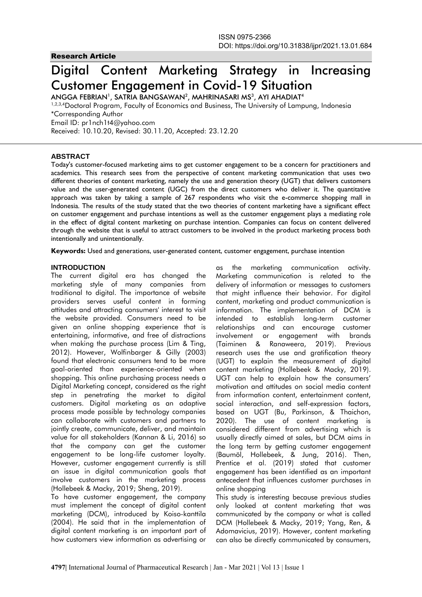# Research Article

# Digital Content Marketing Strategy in Increasing Customer Engagement in Covid-19 Situation

ANGGA FEBRIAN', SATRIA BANGSAWAN $^{\rm 2}$ , MAHRINASARI MS $^{\rm 3}$ , AYI AHADIAT $^{\rm 4}$ <sup>1,2,3,4</sup>Doctoral Program, Faculty of Economics and Business, The University of Lampung, Indonesia \*Corresponding Author Email ID: pr1nch1t4@yahoo.com Received: 10.10.20, Revised: 30.11.20, Accepted: 23.12.20

# **ABSTRACT**

Today's customer-focused marketing aims to get customer engagement to be a concern for practitioners and academics. This research sees from the perspective of content marketing communication that uses two different theories of content marketing, namely the use and generation theory (UGT) that delivers customers value and the user-generated content (UGC) from the direct customers who deliver it. The quantitative approach was taken by taking a sample of 267 respondents who visit the e-commerce shopping mall in Indonesia. The results of the study stated that the two theories of content marketing have a significant effect on customer engagement and purchase intentions as well as the customer engagement plays a mediating role in the effect of digital content marketing on purchase intention. Companies can focus on content delivered through the website that is useful to attract customers to be involved in the product marketing process both intentionally and unintentionally.

**Keywords:** Used and generations, user-generated content, customer engagement, purchase intention

#### **INTRODUCTION**

The current digital era has changed the marketing style of many companies from traditional to digital. The importance of website providers serves useful content in forming attitudes and attracting consumers' interest to visit the website provided. Consumers need to be given an online shopping experience that is entertaining, informative, and free of distractions when making the purchase process (Lim & Ting, 2012). However, Wolfinbarger & Gilly (2003) found that electronic consumers tend to be more goal-oriented than experience-oriented when shopping. This online purchasing process needs a Digital Marketing concept, considered as the right step in penetrating the market to digital customers. Digital marketing as an adaptive process made possible by technology companies can collaborate with customers and partners to jointly create, communicate, deliver, and maintain value for all stakeholders (Kannan & Li, 2016) so that the company can get the customer engagement to be long-life customer loyalty. However, customer engagement currently is still an issue in digital communication goals that involve customers in the marketing process (Hollebeek & Macky, 2019; Sheng, 2019).

To have customer engagement, the company must implement the concept of digital content marketing (DCM), introduced by Koiso-kanttila (2004). He said that in the implementation of digital content marketing is an important part of how customers view information as advertising or

as the marketing communication activity. Marketing communication is related to the delivery of information or messages to customers that might influence their behavior. For digital content, marketing and product communication is information. The implementation of DCM is intended to establish long-term customer relationships and can encourage customer involvement or engagement with brands (Taiminen & Ranaweera, 2019). Previous research uses the use and gratification theory (UGT) to explain the measurement of digital content marketing (Hollebeek & Macky, 2019). UGT can help to explain how the consumers' motivation and attitudes on social media content from information content, entertainment content, social interaction, and self-expression factors, based on UGT (Bu, Parkinson, & Thaichon, 2020). The use of content marketing is considered different from advertising which is usually directly aimed at sales, but DCM aims in the long term by getting customer engagement (Baumöl, Hollebeek, & Jung, 2016). Then, Prentice et al. (2019) stated that customer engagement has been identified as an important antecedent that influences customer purchases in online shopping

This study is interesting because previous studies only looked at content marketing that was communicated by the company or what is called DCM (Hollebeek & Macky, 2019; Yang, Ren, & Adomavicius, 2019). However, content marketing can also be directly communicated by consumers,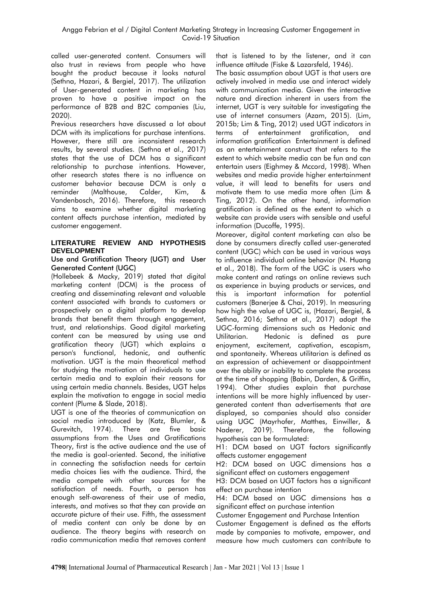called user-generated content. Consumers will also trust in reviews from people who have bought the product because it looks natural (Sethna, Hazari, & Bergiel, 2017). The utilization of User-generated content in marketing has proven to have a positive impact on the performance of B2B and B2C companies (Liu, 2020).

Previous researchers have discussed a lot about DCM with its implications for purchase intentions. However, there still are inconsistent research results, by several studies. (Sethna et al., 2017) states that the use of DCM has a significant relationship to purchase intentions. However, other research states there is no influence on customer behavior because DCM is only a reminder (Malthouse, Calder, Kim, & Vandenbosch, 2016). Therefore, this research aims to examine whether digital marketing content affects purchase intention, mediated by customer engagement.

# **LITERATURE REVIEW AND HYPOTHESIS DEVELOPMENT**

#### Use and Gratification Theory (UGT) and User Generated Content (UGC)

(Hollebeek & Macky, 2019) stated that digital marketing content (DCM) is the process of creating and disseminating relevant and valuable content associated with brands to customers or prospectively on a digital platform to develop brands that benefit them through engagement, trust, and relationships. Good digital marketing content can be measured by using use and gratification theory (UGT) which explains a person's functional, hedonic, and authentic motivation. UGT is the main theoretical method for studying the motivation of individuals to use certain media and to explain their reasons for using certain media channels. Besides, UGT helps explain the motivation to engage in social media content (Plume & Slade, 2018).

UGT is one of the theories of communication on social media introduced by (Katz, Blumler, & Gurevitch, 1974). There are five basic assumptions from the Uses and Gratifications Theory, first is the active audience and the use of the media is goal-oriented. Second, the initiative in connecting the satisfaction needs for certain media choices lies with the audience. Third, the media compete with other sources for the satisfaction of needs. Fourth, a person has enough self-awareness of their use of media, interests, and motives so that they can provide an accurate picture of their use. Fifth, the assessment of media content can only be done by an audience. The theory begins with research on radio communication media that removes content

that is listened to by the listener, and it can influence attitude (Fiske & Lazarsfeld, 1946).

The basic assumption about UGT is that users are actively involved in media use and interact widely with communication media. Given the interactive nature and direction inherent in users from the internet, UGT is very suitable for investigating the use of internet consumers (Azam, 2015). (Lim, 2015b; Lim & Ting, 2012) used UGT indicators in terms of entertainment gratification, and information gratification Entertainment is defined as an entertainment construct that refers to the extent to which website media can be fun and can entertain users (Eighmey & Mccord, 1998). When websites and media provide higher entertainment value, it will lead to benefits for users and motivate them to use media more often (Lim & Ting, 2012). On the other hand, information gratification is defined as the extent to which a website can provide users with sensible and useful information (Ducoffe, 1995).

Moreover, digital content marketing can also be done by consumers directly called user-generated content (UGC) which can be used in various ways to influence individual online behavior (N. Huang et al., 2018). The form of the UGC is users who make content and ratings on online reviews such as experience in buying products or services, and this is important information for potential customers (Banerjee & Chai, 2019). In measuring how high the value of UGC is, (Hazari, Bergiel, & Sethna, 2016; Sethna et al., 2017) adopt the UGC-forming dimensions such as Hedonic and Utilitarian. Hedonic is defined as pure enjoyment, excitement, captivation, escapism, and spontaneity. Whereas utilitarian is defined as an expression of achievement or disappointment over the ability or inability to complete the process at the time of shopping (Babin, Darden, & Griffin, 1994). Other studies explain that purchase intentions will be more highly influenced by usergenerated content than advertisements that are displayed, so companies should also consider using UGC (Mayrhofer, Matthes, Einwiller, & Naderer, 2019). Therefore, the following hypothesis can be formulated:

H1: DCM based on UGT factors significantly affects customer engagement

H2: DCM based on UGC dimensions has a significant effect on customers engagement

H3: DCM based on UGT factors has a significant effect on purchase intention

H4: DCM based on UGC dimensions has a significant effect on purchase intention

Customer Engagement and Purchase Intention

Customer Engagement is defined as the efforts made by companies to motivate, empower, and measure how much customers can contribute to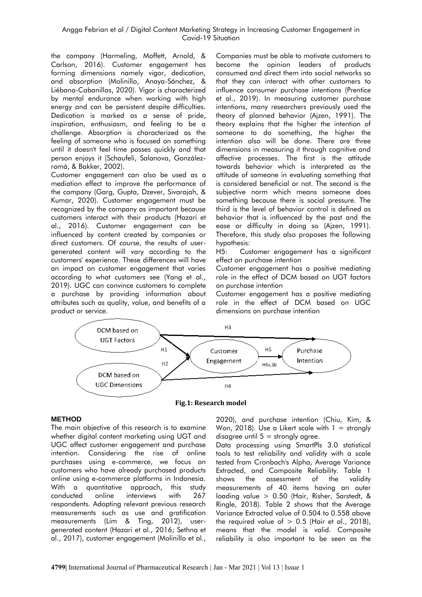the company (Harmeling, Moffett, Arnold, & Carlson, 2016). Customer engagement has forming dimensions namely vigor, dedication, and absorption (Molinillo, Anaya-Sánchez, & Liébana-Cabanillas, 2020). Vigor is characterized by mental endurance when working with high energy and can be persistent despite difficulties. Dedication is marked as a sense of pride, inspiration, enthusiasm, and feeling to be a challenge. Absorption is characterized as the feeling of someone who is focused on something until it doesn't feel time passes quickly and that person enjoys it (Schaufeli, Salanova, Gonzálezromá, & Bakker, 2002).

Customer engagement can also be used as a mediation effect to improve the performance of the company (Garg, Gupta, Dzever, Sivarajah, & Kumar, 2020). Customer engagement must be recognized by the company as important because customers interact with their products (Hazari et al., 2016). Customer engagement can be influenced by content created by companies or direct customers. Of course, the results of usergenerated content will vary according to the customers' experience. These differences will have an impact on customer engagement that varies according to what customers see (Yang et al., 2019). UGC can convince customers to complete a purchase by providing information about attributes such as quality, value, and benefits of a product or service.

Companies must be able to motivate customers to become the opinion leaders of products consumed and direct them into social networks so that they can interact with other customers to influence consumer purchase intentions (Prentice et al., 2019). In measuring customer purchase intentions, many researchers previously used the theory of planned behavior (Ajzen, 1991). The theory explains that the higher the intention of someone to do something, the higher the intention also will be done. There are three dimensions in measuring it through cognitive and affective processes. The first is the attitude towards behavior which is interpreted as the attitude of someone in evaluating something that is considered beneficial or not. The second is the subjective norm which means someone does something because there is social pressure. The third is the level of behavior control is defined as behavior that is influenced by the past and the ease or difficulty in doing so (Ajzen, 1991). Therefore, this study also proposes the following hypothesis:

H5: Customer engagement has a significant effect on purchase intention

Customer engagement has a positive mediating role in the effect of DCM based on UGT factors on purchase intention

Customer engagement has a positive mediating role in the effect of DCM based on UGC dimensions on purchase intention



**Fig.1: Research model**

# **METHOD**

The main objective of this research is to examine whether digital content marketing using UGT and UGC affect customer engagement and purchase intention. Considering the rise of online purchases using e-commerce, we focus on customers who have already purchased products online using e-commerce platforms in Indonesia. With a quantitative approach, this study conducted online interviews with 267 respondents. Adopting relevant previous research measurements such as use and gratification measurements (Lim & Ting, 2012), usergenerated content (Hazari et al., 2016; Sethna et al., 2017), customer engagement (Molinillo et al.,

2020), and purchase intention (Chiu, Kim, & Won, 2018). Use a Likert scale with  $1 =$  strongly disagree until  $5 =$  strongly agree.

Data processing using SmartPls 3.0 statistical tools to test reliability and validity with a scale tested from Cronbach's Alpha, Average Variance Extracted, and Composite Reliability. Table 1 shows the assessment of the validity measurements of 40 items having an outer loading value > 0.50 (Hair, Risher, Sarstedt, & Ringle, 2018). Table 2 shows that the Average Variance Extracted value of 0.504 to 0.558 above the required value of  $> 0.5$  (Hair et al., 2018), means that the model is valid. Composite reliability is also important to be seen as the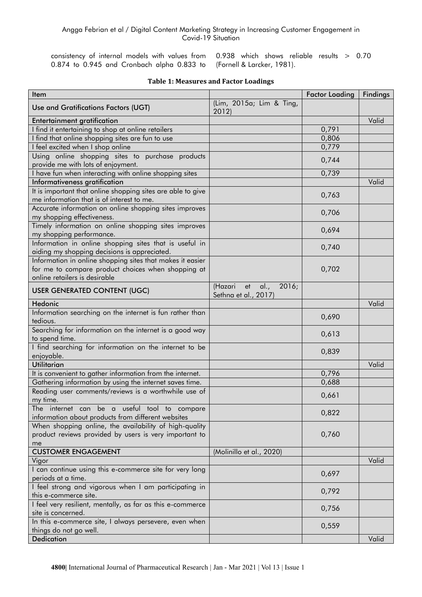0.874 to 0.945 and Cronbach alpha 0.833 to (Fornell & Larcker, 1981).

consistency of internal models with values from 0.938 which shows reliable results > 0.70

| Item                                                                                                                                             |                                                     | <b>Factor Loading</b> | <b>Findings</b> |
|--------------------------------------------------------------------------------------------------------------------------------------------------|-----------------------------------------------------|-----------------------|-----------------|
| Use and Gratifications Factors (UGT)                                                                                                             | (Lim, 2015a; Lim & Ting,<br>2012)                   |                       |                 |
| <b>Entertainment gratification</b>                                                                                                               |                                                     |                       | Valid           |
| I find it entertaining to shop at online retailers                                                                                               |                                                     | 0,791                 |                 |
| I find that online shopping sites are fun to use                                                                                                 |                                                     | 0,806                 |                 |
| I feel excited when I shop online                                                                                                                |                                                     | 0,779                 |                 |
| Using online shopping sites to purchase products                                                                                                 |                                                     | 0,744                 |                 |
| provide me with lots of enjoyment.                                                                                                               |                                                     |                       |                 |
| I have fun when interacting with online shopping sites                                                                                           |                                                     | 0,739                 |                 |
| Informativeness gratification                                                                                                                    |                                                     |                       | Valid           |
| It is important that online shopping sites are able to give<br>me information that is of interest to me.                                         |                                                     | 0,763                 |                 |
| Accurate information on online shopping sites improves<br>my shopping effectiveness.                                                             |                                                     | 0,706                 |                 |
| Timely information on online shopping sites improves<br>my shopping performance.                                                                 |                                                     | 0,694                 |                 |
| Information in online shopping sites that is useful in<br>aiding my shopping decisions is appreciated.                                           |                                                     | 0,740                 |                 |
| Information in online shopping sites that makes it easier<br>for me to compare product choices when shopping at<br>online retailers is desirable |                                                     | 0,702                 |                 |
| USER GENERATED CONTENT (UGC)                                                                                                                     | (Hazari et<br>al.,<br>2016;<br>Sethna et al., 2017) |                       |                 |
| Hedonic                                                                                                                                          |                                                     |                       | Valid           |
| Information searching on the internet is fun rather than<br>tedious.                                                                             |                                                     | 0,690                 |                 |
| Searching for information on the internet is a good way<br>to spend time.                                                                        |                                                     | 0,613                 |                 |
| I find searching for information on the internet to be<br>enjoyable.                                                                             |                                                     | 0,839                 |                 |
| <b>Utilitarian</b>                                                                                                                               |                                                     |                       | Valid           |
| It is convenient to gather information from the internet.                                                                                        |                                                     | 0,796                 |                 |
| Gathering information by using the internet saves time.                                                                                          |                                                     | 0,688                 |                 |
| Reading user comments/reviews is a worthwhile use of<br>my time.                                                                                 |                                                     | 0,661                 |                 |
| The internet can be a useful tool to compare<br>information about products from different websites                                               |                                                     | 0,822                 |                 |
| When shopping online, the availability of high-quality<br>product reviews provided by users is very important to<br>me                           |                                                     | 0,760                 |                 |
| <b>CUSTOMER ENGAGEMENT</b>                                                                                                                       | (Molinillo et al., 2020)                            |                       |                 |
| Vigor                                                                                                                                            |                                                     |                       | Valid           |
| I can continue using this e-commerce site for very long<br>periods at a time.                                                                    |                                                     | 0,697                 |                 |
| I feel strong and vigorous when I am participating in<br>this e-commerce site.                                                                   |                                                     | 0,792                 |                 |
| I feel very resilient, mentally, as far as this e-commerce<br>site is concerned.                                                                 |                                                     | 0,756                 |                 |
| In this e-commerce site, I always persevere, even when                                                                                           |                                                     |                       |                 |
| things do not go well.                                                                                                                           |                                                     | 0,559                 |                 |
| <b>Dedication</b>                                                                                                                                |                                                     |                       | Valid           |

### **Table 1: Measures and Factor Loadings**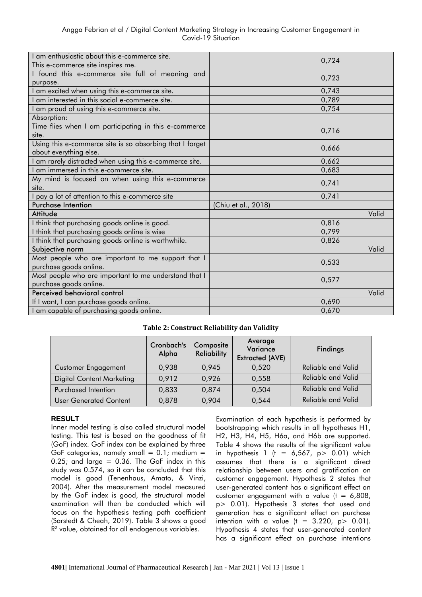| I am enthusiastic about this e-commerce site.                                      |                     | 0,724 |       |
|------------------------------------------------------------------------------------|---------------------|-------|-------|
| This e-commerce site inspires me.                                                  |                     |       |       |
| I found this e-commerce site full of meaning and<br>purpose.                       |                     | 0,723 |       |
| I am excited when using this e-commerce site.                                      |                     | 0,743 |       |
| am interested in this social e-commerce site.                                      |                     | 0,789 |       |
| am proud of using this e-commerce site.                                            |                     | 0,754 |       |
| Absorption:                                                                        |                     |       |       |
| Time flies when I am participating in this e-commerce<br>site.                     |                     | 0,716 |       |
| Using this e-commerce site is so absorbing that I forget<br>about everything else. |                     | 0,666 |       |
| I am rarely distracted when using this e-commerce site.                            |                     | 0,662 |       |
| I am immersed in this e-commerce site.                                             |                     | 0,683 |       |
| My mind is focused on when using this e-commerce<br>site.                          |                     | 0,741 |       |
| pay a lot of attention to this e-commerce site                                     |                     | 0,741 |       |
| <b>Purchase Intention</b>                                                          | (Chiu et al., 2018) |       |       |
| Attitude                                                                           |                     |       | Valid |
| I think that purchasing goods online is good.                                      |                     | 0,816 |       |
| I think that purchasing goods online is wise                                       |                     | 0,799 |       |
| I think that purchasing goods online is worthwhile.                                |                     | 0,826 |       |
| Subjective norm                                                                    |                     |       | Valid |
| Most people who are important to me support that I                                 |                     | 0,533 |       |
| purchase goods online.                                                             |                     |       |       |
| Most people who are important to me understand that I                              |                     | 0,577 |       |
| purchase goods online.                                                             |                     |       |       |
| Perceived behavioral control                                                       |                     |       | Valid |
| If I want, I can purchase goods online.                                            |                     | 0,690 |       |
| I am capable of purchasing goods online.                                           |                     | 0,670 |       |

# **Table 2: Construct Reliability dan Validity**

|                               | Cronbach's<br>Alpha | Composite<br><b>Reliability</b> | Average<br>Variance<br><b>Extracted (AVE)</b> | <b>Findings</b>           |
|-------------------------------|---------------------|---------------------------------|-----------------------------------------------|---------------------------|
| <b>Customer Engagement</b>    | 0,938               | 0,945                           | 0.520                                         | <b>Reliable and Valid</b> |
| Digital Content Marketing     | 0,912               | 0,926                           | 0,558                                         | <b>Reliable and Valid</b> |
| Purchased Intention           | 0,833               | 0,874                           | 0,504                                         | <b>Reliable and Valid</b> |
| <b>User Generated Content</b> | 0,878               | 0,904                           | 0,544                                         | Reliable and Valid        |

# **RESULT**

Inner model testing is also called structural model testing. This test is based on the goodness of fit (GoF) index. GoF index can be explained by three GoF categories, namely small =  $0.1$ ; medium =  $0.25$ ; and large =  $0.36$ . The GoF index in this study was 0.574, so it can be concluded that this model is good (Tenenhaus, Amato, & Vinzi, 2004). After the measurement model measured by the GoF index is good, the structural model examination will then be conducted which will focus on the hypothesis testing path coefficient (Sarstedt & Cheah, 2019). Table 3 shows a good R<sup>2</sup> value, obtained for all endogenous variables.

Examination of each hypothesis is performed by bootstrapping which results in all hypotheses H1, H2, H3, H4, H5, H6a, and H6b are supported. Table 4 shows the results of the significant value in hypothesis 1 (t =  $6,567$ , p> 0.01) which assumes that there is a significant direct relationship between users and gratification on customer engagement. Hypothesis 2 states that user-generated content has a significant effect on customer engagement with a value  $(t = 6,808)$ , p> 0.01). Hypothesis 3 states that used and generation has a significant effect on purchase intention with a value  $(t = 3.220, p > 0.01)$ . Hypothesis 4 states that user-generated content has a significant effect on purchase intentions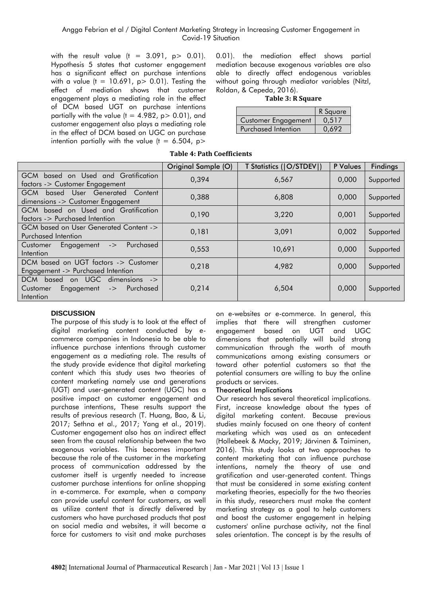with the result value  $(t = 3.091, p > 0.01)$ . Hypothesis 5 states that customer engagement has a significant effect on purchase intentions with a value ( $t = 10.691$ ,  $p > 0.01$ ). Testing the effect of mediation shows that customer engagement plays a mediating role in the effect of DCM based UGT on purchase intentions partially with the value ( $t = 4.982$ ,  $p > 0.01$ ), and customer engagement also plays a mediating role in the effect of DCM based on UGC on purchase intention partially with the value  $(t = 6.504, p >$ 

0.01). the mediation effect shows partial mediation because exogenous variables are also able to directly affect endogenous variables without going through mediator variables (Nitzl, Roldan, & Cepeda, 2016).

#### **Table 3: R Square**

|                            | R Square |
|----------------------------|----------|
| <b>Customer Engagement</b> | 0.517    |
| Purchased Intention        | (1.697)  |

# **Table 4: Path Coefficients**

|                                                                                                                                | Original Sample (O) | T Statistics ( O/STDEV ) | P Values | <b>Findings</b> |
|--------------------------------------------------------------------------------------------------------------------------------|---------------------|--------------------------|----------|-----------------|
| based on Used and Gratification<br>GCM<br>factors -> Customer Engagement                                                       | 0,394               | 6,567                    | 0.000    | Supported       |
| <b>GCM</b><br>based User Generated Content<br>dimensions -> Customer Engagement                                                | 0,388               | 6,808                    | 0.000    | Supported       |
| GCM based on Used and Gratification<br>factors -> Purchased Intention                                                          | 0,190               | 3,220                    | 0,001    | Supported       |
| GCM based on User Generated Content -><br>Purchased Intention                                                                  | 0,181               | 3,091                    | 0.002    | Supported       |
| Purchased<br>Customer<br>Engagement<br>$\mathord{\text{-}}$<br>Intention                                                       | 0.553               | 10,691                   | 0,000    | Supported       |
| DCM based on UGT factors -> Customer<br>Engagement -> Purchased Intention                                                      | 0.218               | 4,982                    | 0,000    | Supported       |
| on UGC dimensions $\rightarrow$<br><b>DCM</b><br>based<br>Purchased<br>Customer<br>Engagement<br>$\mathord{\sim}$<br>Intention | 0,214               | 6,504                    | 0,000    | Supported       |

# **DISCUSSION**

The purpose of this study is to look at the effect of digital marketing content conducted by ecommerce companies in Indonesia to be able to influence purchase intentions through customer engagement as a mediating role. The results of the study provide evidence that digital marketing content which this study uses two theories of content marketing namely use and generations (UGT) and user-generated content (UGC) has a positive impact on customer engagement and purchase intentions, These results support the results of previous research (T. Huang, Bao, & Li, 2017; Sethna et al., 2017; Yang et al., 2019). Customer engagement also has an indirect effect seen from the causal relationship between the two exogenous variables. This becomes important because the role of the customer in the marketing process of communication addressed by the customer itself is urgently needed to increase customer purchase intentions for online shopping in e-commerce. For example, when a company can provide useful content for customers, as well as utilize content that is directly delivered by customers who have purchased products that post on social media and websites, it will become a force for customers to visit and make purchases

on e-websites or e-commerce. In general, this implies that there will strengthen customer engagement based on UGT and UGC dimensions that potentially will build strong communication through the worth of mouth communications among existing consumers or toward other potential customers so that the potential consumers are willing to buy the online products or services.

#### Theoretical Implications

Our research has several theoretical implications. First, increase knowledge about the types of digital marketing content. Because previous studies mainly focused on one theory of content marketing which was used as an antecedent (Hollebeek & Macky, 2019; Järvinen & Taiminen, 2016). This study looks at two approaches to content marketing that can influence purchase intentions, namely the theory of use and gratification and user-generated content. Things that must be considered in some existing content marketing theories, especially for the two theories in this study, researchers must make the content marketing strategy as a goal to help customers and boost the customer engagement in helping customers' online purchase activity, not the final sales orientation. The concept is by the results of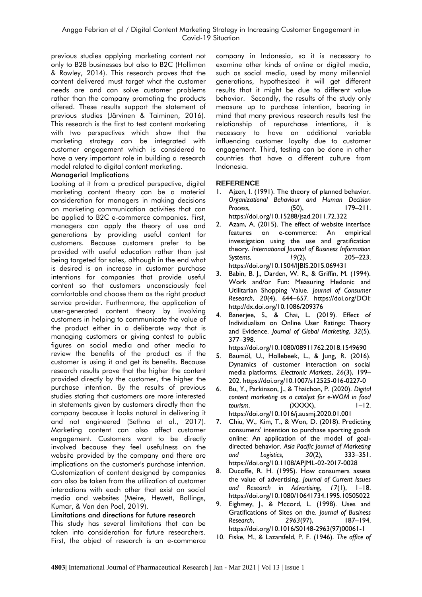previous studies applying marketing content not only to B2B businesses but also to B2C (Holliman & Rowley, 2014). This research proves that the content delivered must target what the customer needs are and can solve customer problems rather than the company promoting the products offered. These results support the statement of previous studies (Järvinen & Taiminen, 2016). This research is the first to test content marketing with two perspectives which show that the marketing strategy can be integrated with customer engagement which is considered to have a very important role in building a research model related to digital content marketing.

### Managerial Implications

Looking at it from a practical perspective, digital marketing content theory can be a material consideration for managers in making decisions on marketing communication activities that can be applied to B2C e-commerce companies. First, managers can apply the theory of use and generations by providing useful content for customers. Because customers prefer to be provided with useful education rather than just being targeted for sales, although in the end what is desired is an increase in customer purchase intentions for companies that provide useful content so that customers unconsciously feel comfortable and choose them as the right product service provider. Furthermore, the application of user-generated content theory by involving customers in helping to communicate the value of the product either in a deliberate way that is managing customers or giving contest to public figures on social media and other media to review the benefits of the product as if the customer is using it and get its benefits. Because research results prove that the higher the content provided directly by the customer, the higher the purchase intention. By the results of previous studies stating that customers are more interested in statements given by customers directly than the company because it looks natural in delivering it and not engineered (Sethna et al., 2017). Marketing content can also affect customer engagement. Customers want to be directly involved because they feel usefulness on the website provided by the company and there are implications on the customer's purchase intention. Customization of content designed by companies can also be taken from the utilization of customer interactions with each other that exist on social media and websites (Meire, Hewett, Ballings, Kumar, & Van den Poel, 2019).

#### Limitations and directions for future research

This study has several limitations that can be taken into consideration for future researchers. First, the object of research is an e-commerce company in Indonesia, so it is necessary to examine other kinds of online or digital media, such as social media, used by many millennial generations, hypothesized it will get different results that it might be due to different value behavior. Secondly, the results of the study only measure up to purchase intention, bearing in mind that many previous research results test the relationship of repurchase intentions, it is necessary to have an additional variable influencing customer loyalty due to customer engagement. Third, testing can be done in other countries that have a different culture from Indonesia.

# **REFERENCE**

- 1. Ajzen, I. (1991). The theory of planned behavior. *Organizational Behaviour and Human Decision Process*, (50), 179–211. https://doi.org/10.15288/jsad.2011.72.322
- 2. Azam, A. (2015). The effect of website interface features on e-commerce: An empirical investigation using the use and gratification theory. *International Journal of Business Information Systems*, *19*(2), 205–223. https://doi.org/10.1504/IJBIS.2015.069431
- 3. Babin, B. J., Darden, W. R., & Griffin, M. (1994). Work and/or Fun: Measuring Hedonic and Utilitarian Shopping Value. *Journal of Consumer Research*, *20*(4), 644–657. https://doi.org/DOI: http://dx.doi.org/10.1086/209376
- 4. Banerjee, S., & Chai, L. (2019). Effect of Individualism on Online User Ratings: Theory and Evidence. *Journal of Global Marketing*, *32*(5), 377–398.

https://doi.org/10.1080/08911762.2018.1549690

- 5. Baumöl, U., Hollebeek, L., & Jung, R. (2016). Dynamics of customer interaction on social media platforms. *Electronic Markets*, *26*(3), 199– 202. https://doi.org/10.1007/s12525-016-0227-0
- 6. Bu, Y., Parkinson, J., & Thaichon, P. (2020). *Digital content marketing as a catalyst for e-WOM in food tourism.* (XXXX),  $1-12$ . https://doi.org/10.1016/j.ausmj.2020.01.001
- 7. Chiu, W., Kim, T., & Won, D. (2018). Predicting consumers' intention to purchase sporting goods online: An application of the model of goaldirected behavior. *Asia Pacific Journal of Marketing and Logistics*, *30*(2), 333–351. https://doi.org/10.1108/APJML-02-2017-0028
- 8. Ducoffe, R. H. (1995). How consumers assess the value of advertising. *Journal of Current Issues and Research in Advertising*, *17*(1), 1–18. https://doi.org/10.1080/10641734.1995.10505022
- 9. Eighmey, J., & Mccord, L. (1998). Uses and Gratifications of Sites on the. *Journal of Business Research*, *2963*(97), 187–194. https://doi.org/10.1016/S0148-2963(97)00061-1
- 10. Fiske, M., & Lazarsfeld, P. F. (1946). *The office of*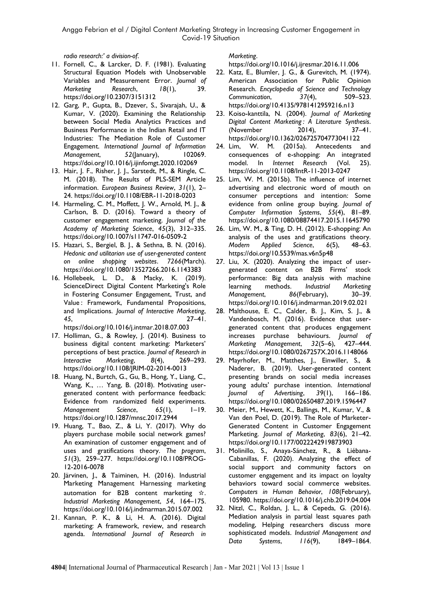*radio research:' a division-of*.

- 11. Fornell, C., & Larcker, D. F. (1981). Evaluating Structural Equation Models with Unobservable Variables and Measurement Error. *Journal of Marketing Research*, *18*(1), 39. https://doi.org/10.2307/3151312
- 12. Garg, P., Gupta, B., Dzever, S., Sivarajah, U., & Kumar, V. (2020). Examining the Relationship between Social Media Analytics Practices and Business Performance in the Indian Retail and IT Industries: The Mediation Role of Customer Engagement. *International Journal of Information Management*, *52*(January), 102069. https://doi.org/10.1016/j.ijinfomgt.2020.102069
- 13. Hair, J. F., Risher, J. J., Sarstedt, M., & Ringle, C. M. (2018). The Results of PLS-SEM Article information. *European Business Review*, *31*(1), 2– 24. https://doi.org/10.1108/EBR-11-2018-0203
- 14. Harmeling, C. M., Moffett, J. W., Arnold, M. J., & Carlson, B. D. (2016). Toward a theory of customer engagement marketing. *Journal of the Academy of Marketing Science*, *45*(3), 312–335. https://doi.org/10.1007/s11747-016-0509-2
- 15. Hazari, S., Bergiel, B. J., & Sethna, B. N. (2016). *Hedonic and utilitarian use of user-generated content on online shopping websites*. *7266*(March). https://doi.org/10.1080/13527266.2016.1143383
- 16. Hollebeek, L. D., & Macky, K. (2019). ScienceDirect Digital Content Marketing's Role in Fostering Consumer Engagement, Trust, and Value : Framework, Fundamental Propositions, and Implications. *Journal of Interactive Marketing*, *45*, 27–41. https://doi.org/10.1016/j.intmar.2018.07.003
- 17. Holliman, G., & Rowley, J. (2014). Business to business digital content marketing: Marketers' perceptions of best practice. *Journal of Research in Interactive Marketing*, *8*(4), 269–293. https://doi.org/10.1108/JRIM-02-2014-0013
- 18. Huang, N., Burtch, G., Gu, B., Hong, Y., Liang, C., Wang, K., … Yang, B. (2018). Motivating usergenerated content with performance feedback: Evidence from randomized field experiments. *Management Science*, *65*(1), 1–19. https://doi.org/10.1287/mnsc.2017.2944
- 19. Huang, T., Bao, Z., & Li, Y. (2017). Why do players purchase mobile social network games? An examination of customer engagement and of uses and gratifications theory. *The program*, *51*(3), 259–277. https://doi.org/10.1108/PROG-12-2016-0078
- 20. Järvinen, J., & Taiminen, H. (2016). Industrial Marketing Management Harnessing marketing automation for B2B content marketing ☆. *Industrial Marketing Management*, *54*, 164–175. https://doi.org/10.1016/j.indmarman.2015.07.002
- 21. Kannan, P. K., & Li, H. A. (2016). Digital marketing: A framework, review, and research agenda. *International Journal of Research in*

*Marketing*.

https://doi.org/10.1016/j.ijresmar.2016.11.006

- 22. Katz, E., Blumler, J. G., & Gurevitch, M. (1974). American Association for Public Opinion Research. *Encyclopedia of Science and Technology Communication*, *37*(4), 509–523. https://doi.org/10.4135/9781412959216.n13
- 23. Koiso-kanttila, N. (2004). *Journal of Marketing Digital Content Marketing : A Literature Synthesis*. (November 2014), 37–41. https://doi.org/10.1362/026725704773041122
- 24. Lim, W. M. (2015a). Antecedents and consequences of e-shopping: An integrated model. In *Internet Research* (Vol. 25). https://doi.org/10.1108/IntR-11-2013-0247
- 25. Lim, W. M. (2015b). The influence of internet advertising and electronic word of mouth on consumer perceptions and intention: Some evidence from online group buying. *Journal of Computer Information Systems*, *55*(4), 81–89. https://doi.org/10.1080/08874417.2015.11645790
- 26. Lim, W. M., & Ting, D. H. (2012). E-shopping: An analysis of the uses and gratifications theory. *Modern Applied Science*, *6*(5), 48–63. https://doi.org/10.5539/mas.v6n5p48
- 27. Liu, X. (2020). Analyzing the impact of usergenerated content on B2B Firms' stock performance: Big data analysis with machine learning methods. *Industrial Marketing Management*, *86*(February), 30–39. https://doi.org/10.1016/j.indmarman.2019.02.021
- 28. Malthouse, E. C., Calder, B. J., Kim, S. J., & Vandenbosch, M. (2016). Evidence that usergenerated content that produces engagement increases purchase behaviours. *Journal of Marketing Management*, *32*(5–6), 427–444. https://doi.org/10.1080/0267257X.2016.1148066
- 29. Mayrhofer, M., Matthes, J., Einwiller, S., & Naderer, B. (2019). User-generated content presenting brands on social media increases young adults' purchase intention. *International Journal of Advertising*, *39*(1), 166–186. https://doi.org/10.1080/02650487.2019.1596447
- 30. Meier, M., Hewett, K., Ballings, M., Kumar, V., & Van den Poel, D. (2019). The Role of Marketer-Generated Content in Customer Engagement Marketing. *Journal of Marketing*, *83*(6), 21–42. https://doi.org/10.1177/0022242919873903
- 31. Molinillo, S., Anaya-Sánchez, R., & Liébana-Cabanillas, F. (2020). Analyzing the effect of social support and community factors on customer engagement and its impact on loyalty behaviors toward social commerce websites. *Computers in Human Behavior*, *108*(February), 105980. https://doi.org/10.1016/j.chb.2019.04.004
- 32. Nitzl, C., Roldan, J. L., & Cepeda, G. (2016). Mediation analysis in partial least squares path modeling, Helping researchers discuss more sophisticated models. *Industrial Management and Data Systems*, *116*(9), 1849–1864.